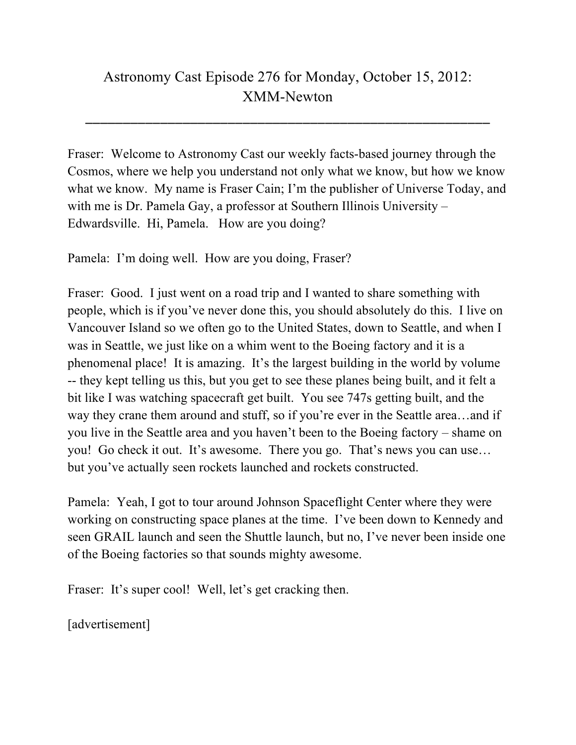## Astronomy Cast Episode 276 for Monday, October 15, 2012: XMM-Newton

\_\_\_\_\_\_\_\_\_\_\_\_\_\_\_\_\_\_\_\_\_\_\_\_\_\_\_\_\_\_\_\_\_\_\_\_\_\_\_\_\_\_\_\_\_\_\_\_\_\_\_\_\_\_

Fraser: Welcome to Astronomy Cast our weekly facts-based journey through the Cosmos, where we help you understand not only what we know, but how we know what we know. My name is Fraser Cain; I'm the publisher of Universe Today, and with me is Dr. Pamela Gay, a professor at Southern Illinois University – Edwardsville. Hi, Pamela. How are you doing?

Pamela: I'm doing well. How are you doing, Fraser?

Fraser: Good. I just went on a road trip and I wanted to share something with people, which is if you've never done this, you should absolutely do this. I live on Vancouver Island so we often go to the United States, down to Seattle, and when I was in Seattle, we just like on a whim went to the Boeing factory and it is a phenomenal place! It is amazing. It's the largest building in the world by volume -- they kept telling us this, but you get to see these planes being built, and it felt a bit like I was watching spacecraft get built. You see 747s getting built, and the way they crane them around and stuff, so if you're ever in the Seattle area…and if you live in the Seattle area and you haven't been to the Boeing factory – shame on you! Go check it out. It's awesome. There you go. That's news you can use… but you've actually seen rockets launched and rockets constructed.

Pamela: Yeah, I got to tour around Johnson Spaceflight Center where they were working on constructing space planes at the time. I've been down to Kennedy and seen GRAIL launch and seen the Shuttle launch, but no, I've never been inside one of the Boeing factories so that sounds mighty awesome.

Fraser: It's super cool! Well, let's get cracking then.

[advertisement]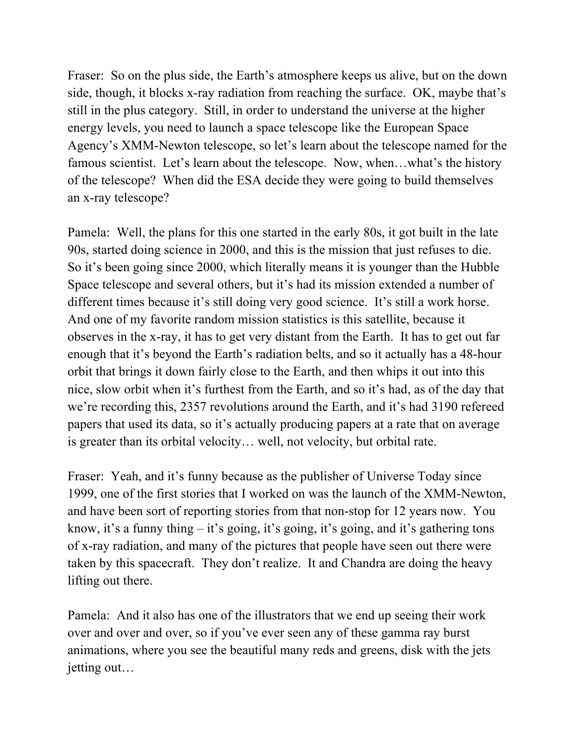Fraser: So on the plus side, the Earth's atmosphere keeps us alive, but on the down side, though, it blocks x-ray radiation from reaching the surface. OK, maybe that's still in the plus category. Still, in order to understand the universe at the higher energy levels, you need to launch a space telescope like the European Space Agency's XMM-Newton telescope, so let's learn about the telescope named for the famous scientist. Let's learn about the telescope. Now, when...what's the history of the telescope? When did the ESA decide they were going to build themselves an x-ray telescope?

Pamela: Well, the plans for this one started in the early 80s, it got built in the late 90s, started doing science in 2000, and this is the mission that just refuses to die. So it's been going since 2000, which literally means it is younger than the Hubble Space telescope and several others, but it's had its mission extended a number of different times because it's still doing very good science. It's still a work horse. And one of my favorite random mission statistics is this satellite, because it observes in the x-ray, it has to get very distant from the Earth. It has to get out far enough that it's beyond the Earth's radiation belts, and so it actually has a 48-hour orbit that brings it down fairly close to the Earth, and then whips it out into this nice, slow orbit when it's furthest from the Earth, and so it's had, as of the day that we're recording this, 2357 revolutions around the Earth, and it's had 3190 refereed papers that used its data, so it's actually producing papers at a rate that on average is greater than its orbital velocity… well, not velocity, but orbital rate.

Fraser: Yeah, and it's funny because as the publisher of Universe Today since 1999, one of the first stories that I worked on was the launch of the XMM-Newton, and have been sort of reporting stories from that non-stop for 12 years now. You know, it's a funny thing – it's going, it's going, it's going, and it's gathering tons of x-ray radiation, and many of the pictures that people have seen out there were taken by this spacecraft. They don't realize. It and Chandra are doing the heavy lifting out there.

Pamela: And it also has one of the illustrators that we end up seeing their work over and over and over, so if you've ever seen any of these gamma ray burst animations, where you see the beautiful many reds and greens, disk with the jets jetting out…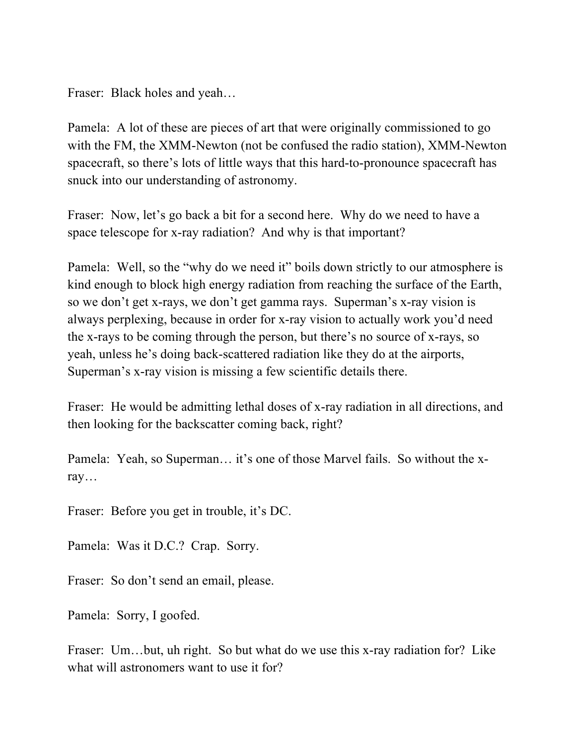Fraser: Black holes and yeah…

Pamela: A lot of these are pieces of art that were originally commissioned to go with the FM, the XMM-Newton (not be confused the radio station), XMM-Newton spacecraft, so there's lots of little ways that this hard-to-pronounce spacecraft has snuck into our understanding of astronomy.

Fraser: Now, let's go back a bit for a second here. Why do we need to have a space telescope for x-ray radiation? And why is that important?

Pamela: Well, so the "why do we need it" boils down strictly to our atmosphere is kind enough to block high energy radiation from reaching the surface of the Earth, so we don't get x-rays, we don't get gamma rays. Superman's x-ray vision is always perplexing, because in order for x-ray vision to actually work you'd need the x-rays to be coming through the person, but there's no source of x-rays, so yeah, unless he's doing back-scattered radiation like they do at the airports, Superman's x-ray vision is missing a few scientific details there.

Fraser: He would be admitting lethal doses of x-ray radiation in all directions, and then looking for the backscatter coming back, right?

Pamela: Yeah, so Superman… it's one of those Marvel fails. So without the xray…

Fraser: Before you get in trouble, it's DC.

Pamela: Was it D.C.? Crap. Sorry.

Fraser: So don't send an email, please.

Pamela: Sorry, I goofed.

Fraser: Um…but, uh right. So but what do we use this x-ray radiation for? Like what will astronomers want to use it for?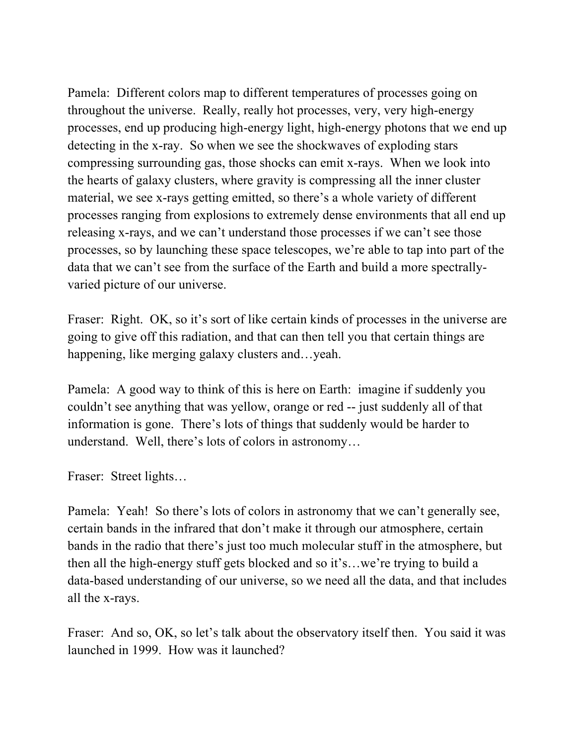Pamela: Different colors map to different temperatures of processes going on throughout the universe. Really, really hot processes, very, very high-energy processes, end up producing high-energy light, high-energy photons that we end up detecting in the x-ray. So when we see the shockwaves of exploding stars compressing surrounding gas, those shocks can emit x-rays. When we look into the hearts of galaxy clusters, where gravity is compressing all the inner cluster material, we see x-rays getting emitted, so there's a whole variety of different processes ranging from explosions to extremely dense environments that all end up releasing x-rays, and we can't understand those processes if we can't see those processes, so by launching these space telescopes, we're able to tap into part of the data that we can't see from the surface of the Earth and build a more spectrallyvaried picture of our universe.

Fraser: Right. OK, so it's sort of like certain kinds of processes in the universe are going to give off this radiation, and that can then tell you that certain things are happening, like merging galaxy clusters and…yeah.

Pamela: A good way to think of this is here on Earth: imagine if suddenly you couldn't see anything that was yellow, orange or red -- just suddenly all of that information is gone. There's lots of things that suddenly would be harder to understand. Well, there's lots of colors in astronomy…

Fraser: Street lights…

Pamela: Yeah! So there's lots of colors in astronomy that we can't generally see, certain bands in the infrared that don't make it through our atmosphere, certain bands in the radio that there's just too much molecular stuff in the atmosphere, but then all the high-energy stuff gets blocked and so it's…we're trying to build a data-based understanding of our universe, so we need all the data, and that includes all the x-rays.

Fraser: And so, OK, so let's talk about the observatory itself then. You said it was launched in 1999. How was it launched?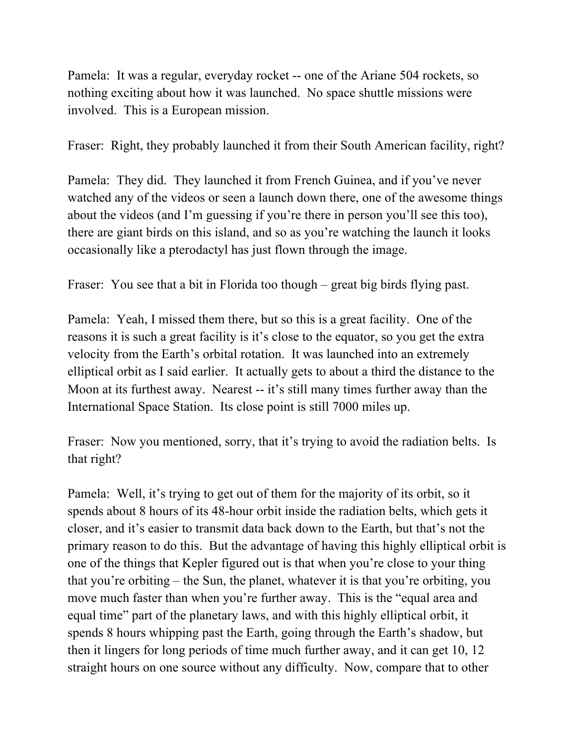Pamela: It was a regular, everyday rocket -- one of the Ariane 504 rockets, so nothing exciting about how it was launched. No space shuttle missions were involved. This is a European mission.

Fraser: Right, they probably launched it from their South American facility, right?

Pamela: They did. They launched it from French Guinea, and if you've never watched any of the videos or seen a launch down there, one of the awesome things about the videos (and I'm guessing if you're there in person you'll see this too), there are giant birds on this island, and so as you're watching the launch it looks occasionally like a pterodactyl has just flown through the image.

Fraser: You see that a bit in Florida too though – great big birds flying past.

Pamela: Yeah, I missed them there, but so this is a great facility. One of the reasons it is such a great facility is it's close to the equator, so you get the extra velocity from the Earth's orbital rotation. It was launched into an extremely elliptical orbit as I said earlier. It actually gets to about a third the distance to the Moon at its furthest away. Nearest -- it's still many times further away than the International Space Station. Its close point is still 7000 miles up.

Fraser: Now you mentioned, sorry, that it's trying to avoid the radiation belts. Is that right?

Pamela: Well, it's trying to get out of them for the majority of its orbit, so it spends about 8 hours of its 48-hour orbit inside the radiation belts, which gets it closer, and it's easier to transmit data back down to the Earth, but that's not the primary reason to do this. But the advantage of having this highly elliptical orbit is one of the things that Kepler figured out is that when you're close to your thing that you're orbiting – the Sun, the planet, whatever it is that you're orbiting, you move much faster than when you're further away. This is the "equal area and equal time" part of the planetary laws, and with this highly elliptical orbit, it spends 8 hours whipping past the Earth, going through the Earth's shadow, but then it lingers for long periods of time much further away, and it can get 10, 12 straight hours on one source without any difficulty. Now, compare that to other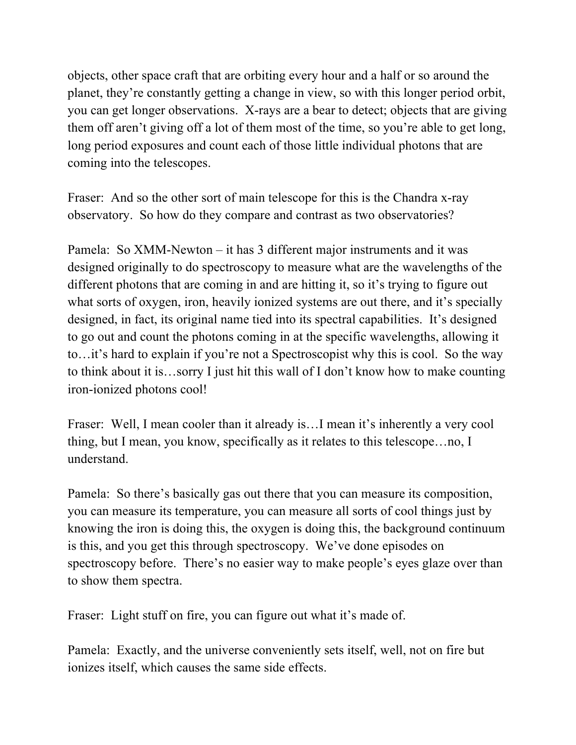objects, other space craft that are orbiting every hour and a half or so around the planet, they're constantly getting a change in view, so with this longer period orbit, you can get longer observations. X-rays are a bear to detect; objects that are giving them off aren't giving off a lot of them most of the time, so you're able to get long, long period exposures and count each of those little individual photons that are coming into the telescopes.

Fraser: And so the other sort of main telescope for this is the Chandra x-ray observatory. So how do they compare and contrast as two observatories?

Pamela: So XMM-Newton – it has 3 different major instruments and it was designed originally to do spectroscopy to measure what are the wavelengths of the different photons that are coming in and are hitting it, so it's trying to figure out what sorts of oxygen, iron, heavily ionized systems are out there, and it's specially designed, in fact, its original name tied into its spectral capabilities. It's designed to go out and count the photons coming in at the specific wavelengths, allowing it to…it's hard to explain if you're not a Spectroscopist why this is cool. So the way to think about it is…sorry I just hit this wall of I don't know how to make counting iron-ionized photons cool!

Fraser: Well, I mean cooler than it already is...I mean it's inherently a very cool thing, but I mean, you know, specifically as it relates to this telescope…no, I understand.

Pamela: So there's basically gas out there that you can measure its composition, you can measure its temperature, you can measure all sorts of cool things just by knowing the iron is doing this, the oxygen is doing this, the background continuum is this, and you get this through spectroscopy. We've done episodes on spectroscopy before. There's no easier way to make people's eyes glaze over than to show them spectra.

Fraser: Light stuff on fire, you can figure out what it's made of.

Pamela: Exactly, and the universe conveniently sets itself, well, not on fire but ionizes itself, which causes the same side effects.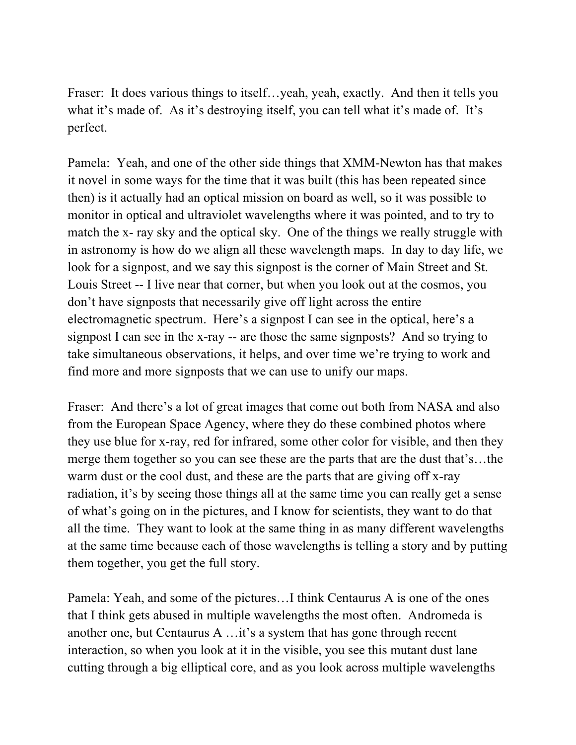Fraser: It does various things to itself…yeah, yeah, exactly. And then it tells you what it's made of. As it's destroying itself, you can tell what it's made of. It's perfect.

Pamela: Yeah, and one of the other side things that XMM-Newton has that makes it novel in some ways for the time that it was built (this has been repeated since then) is it actually had an optical mission on board as well, so it was possible to monitor in optical and ultraviolet wavelengths where it was pointed, and to try to match the x- ray sky and the optical sky. One of the things we really struggle with in astronomy is how do we align all these wavelength maps. In day to day life, we look for a signpost, and we say this signpost is the corner of Main Street and St. Louis Street -- I live near that corner, but when you look out at the cosmos, you don't have signposts that necessarily give off light across the entire electromagnetic spectrum. Here's a signpost I can see in the optical, here's a signpost I can see in the x-ray -- are those the same signposts? And so trying to take simultaneous observations, it helps, and over time we're trying to work and find more and more signposts that we can use to unify our maps.

Fraser: And there's a lot of great images that come out both from NASA and also from the European Space Agency, where they do these combined photos where they use blue for x-ray, red for infrared, some other color for visible, and then they merge them together so you can see these are the parts that are the dust that's…the warm dust or the cool dust, and these are the parts that are giving off x-ray radiation, it's by seeing those things all at the same time you can really get a sense of what's going on in the pictures, and I know for scientists, they want to do that all the time. They want to look at the same thing in as many different wavelengths at the same time because each of those wavelengths is telling a story and by putting them together, you get the full story.

Pamela: Yeah, and some of the pictures…I think Centaurus A is one of the ones that I think gets abused in multiple wavelengths the most often. Andromeda is another one, but Centaurus A …it's a system that has gone through recent interaction, so when you look at it in the visible, you see this mutant dust lane cutting through a big elliptical core, and as you look across multiple wavelengths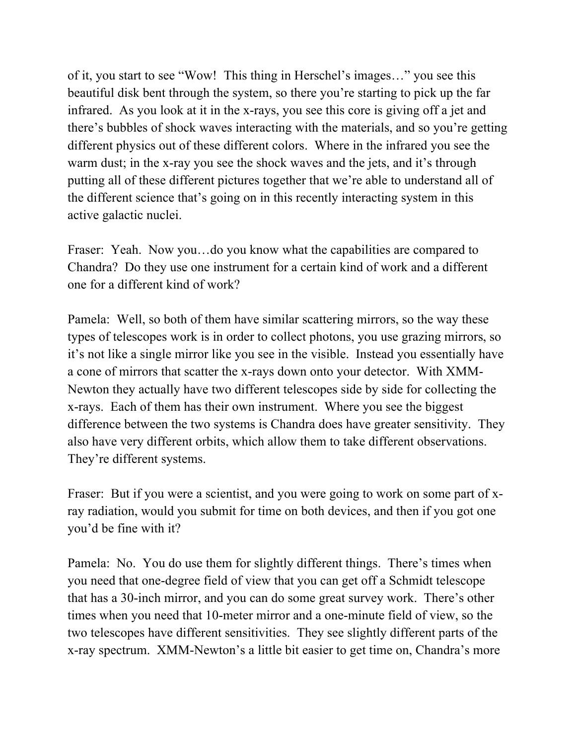of it, you start to see "Wow! This thing in Herschel's images…" you see this beautiful disk bent through the system, so there you're starting to pick up the far infrared. As you look at it in the x-rays, you see this core is giving off a jet and there's bubbles of shock waves interacting with the materials, and so you're getting different physics out of these different colors. Where in the infrared you see the warm dust; in the x-ray you see the shock waves and the jets, and it's through putting all of these different pictures together that we're able to understand all of the different science that's going on in this recently interacting system in this active galactic nuclei.

Fraser: Yeah. Now you…do you know what the capabilities are compared to Chandra? Do they use one instrument for a certain kind of work and a different one for a different kind of work?

Pamela: Well, so both of them have similar scattering mirrors, so the way these types of telescopes work is in order to collect photons, you use grazing mirrors, so it's not like a single mirror like you see in the visible. Instead you essentially have a cone of mirrors that scatter the x-rays down onto your detector. With XMM-Newton they actually have two different telescopes side by side for collecting the x-rays. Each of them has their own instrument. Where you see the biggest difference between the two systems is Chandra does have greater sensitivity. They also have very different orbits, which allow them to take different observations. They're different systems.

Fraser: But if you were a scientist, and you were going to work on some part of xray radiation, would you submit for time on both devices, and then if you got one you'd be fine with it?

Pamela: No. You do use them for slightly different things. There's times when you need that one-degree field of view that you can get off a Schmidt telescope that has a 30-inch mirror, and you can do some great survey work. There's other times when you need that 10-meter mirror and a one-minute field of view, so the two telescopes have different sensitivities. They see slightly different parts of the x-ray spectrum. XMM-Newton's a little bit easier to get time on, Chandra's more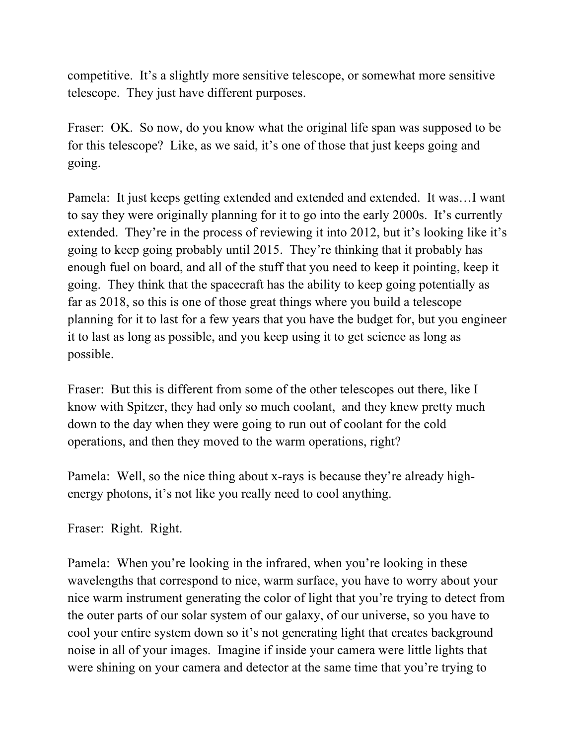competitive. It's a slightly more sensitive telescope, or somewhat more sensitive telescope. They just have different purposes.

Fraser: OK. So now, do you know what the original life span was supposed to be for this telescope? Like, as we said, it's one of those that just keeps going and going.

Pamela: It just keeps getting extended and extended and extended. It was…I want to say they were originally planning for it to go into the early 2000s. It's currently extended. They're in the process of reviewing it into 2012, but it's looking like it's going to keep going probably until 2015. They're thinking that it probably has enough fuel on board, and all of the stuff that you need to keep it pointing, keep it going. They think that the spacecraft has the ability to keep going potentially as far as 2018, so this is one of those great things where you build a telescope planning for it to last for a few years that you have the budget for, but you engineer it to last as long as possible, and you keep using it to get science as long as possible.

Fraser: But this is different from some of the other telescopes out there, like I know with Spitzer, they had only so much coolant, and they knew pretty much down to the day when they were going to run out of coolant for the cold operations, and then they moved to the warm operations, right?

Pamela: Well, so the nice thing about x-rays is because they're already highenergy photons, it's not like you really need to cool anything.

Fraser: Right. Right.

Pamela: When you're looking in the infrared, when you're looking in these wavelengths that correspond to nice, warm surface, you have to worry about your nice warm instrument generating the color of light that you're trying to detect from the outer parts of our solar system of our galaxy, of our universe, so you have to cool your entire system down so it's not generating light that creates background noise in all of your images. Imagine if inside your camera were little lights that were shining on your camera and detector at the same time that you're trying to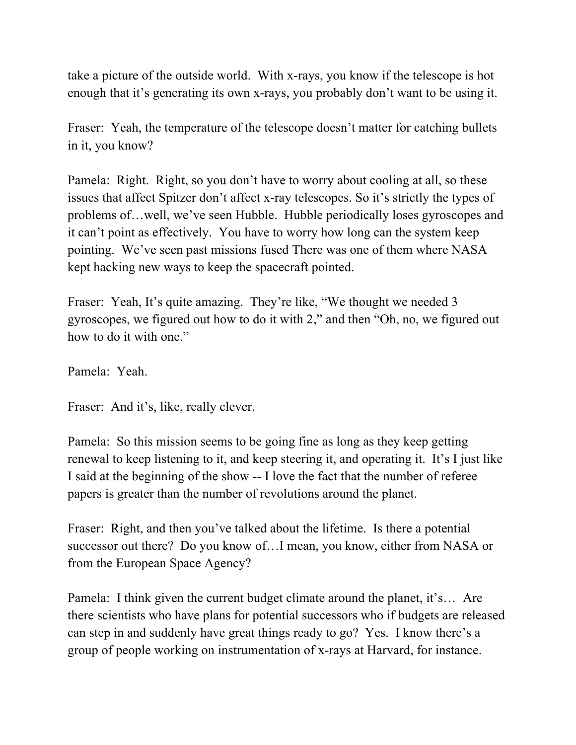take a picture of the outside world. With x-rays, you know if the telescope is hot enough that it's generating its own x-rays, you probably don't want to be using it.

Fraser: Yeah, the temperature of the telescope doesn't matter for catching bullets in it, you know?

Pamela: Right. Right, so you don't have to worry about cooling at all, so these issues that affect Spitzer don't affect x-ray telescopes. So it's strictly the types of problems of…well, we've seen Hubble. Hubble periodically loses gyroscopes and it can't point as effectively. You have to worry how long can the system keep pointing. We've seen past missions fused There was one of them where NASA kept hacking new ways to keep the spacecraft pointed.

Fraser: Yeah, It's quite amazing. They're like, "We thought we needed 3 gyroscopes, we figured out how to do it with 2," and then "Oh, no, we figured out how to do it with one."

Pamela: Yeah.

Fraser: And it's, like, really clever.

Pamela: So this mission seems to be going fine as long as they keep getting renewal to keep listening to it, and keep steering it, and operating it. It's I just like I said at the beginning of the show -- I love the fact that the number of referee papers is greater than the number of revolutions around the planet.

Fraser: Right, and then you've talked about the lifetime. Is there a potential successor out there? Do you know of…I mean, you know, either from NASA or from the European Space Agency?

Pamela: I think given the current budget climate around the planet, it's… Are there scientists who have plans for potential successors who if budgets are released can step in and suddenly have great things ready to go? Yes. I know there's a group of people working on instrumentation of x-rays at Harvard, for instance.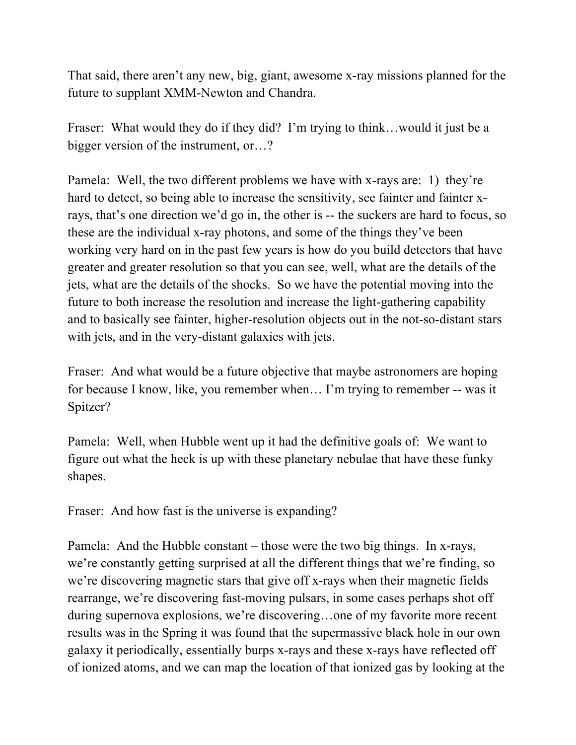That said, there aren't any new, big, giant, awesome x-ray missions planned for the future to supplant XMM-Newton and Chandra.

Fraser: What would they do if they did? I'm trying to think...would it just be a bigger version of the instrument, or…?

Pamela: Well, the two different problems we have with x-rays are: 1) they're hard to detect, so being able to increase the sensitivity, see fainter and fainter xrays, that's one direction we'd go in, the other is -- the suckers are hard to focus, so these are the individual x-ray photons, and some of the things they've been working very hard on in the past few years is how do you build detectors that have greater and greater resolution so that you can see, well, what are the details of the jets, what are the details of the shocks. So we have the potential moving into the future to both increase the resolution and increase the light-gathering capability and to basically see fainter, higher-resolution objects out in the not-so-distant stars with jets, and in the very-distant galaxies with jets.

Fraser: And what would be a future objective that maybe astronomers are hoping for because I know, like, you remember when… I'm trying to remember -- was it Spitzer?

Pamela: Well, when Hubble went up it had the definitive goals of: We want to figure out what the heck is up with these planetary nebulae that have these funky shapes.

Fraser: And how fast is the universe is expanding?

Pamela: And the Hubble constant – those were the two big things. In x-rays, we're constantly getting surprised at all the different things that we're finding, so we're discovering magnetic stars that give off x-rays when their magnetic fields rearrange, we're discovering fast-moving pulsars, in some cases perhaps shot off during supernova explosions, we're discovering…one of my favorite more recent results was in the Spring it was found that the supermassive black hole in our own galaxy it periodically, essentially burps x-rays and these x-rays have reflected off of ionized atoms, and we can map the location of that ionized gas by looking at the